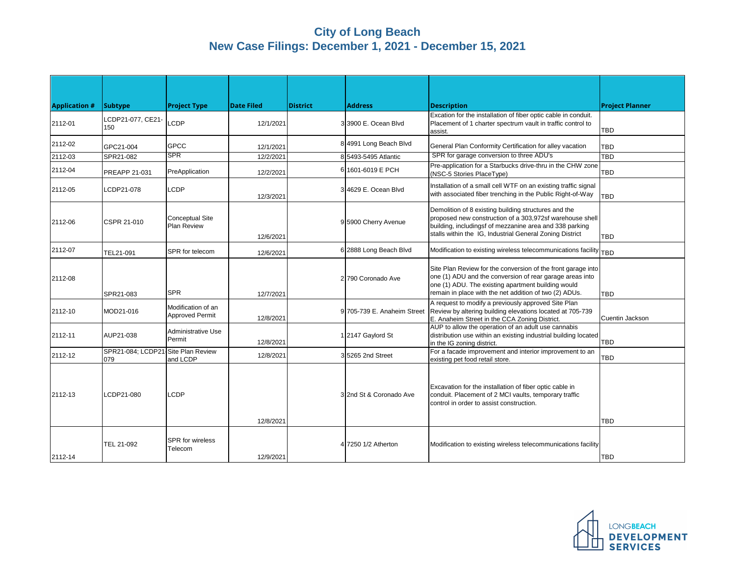## **City of Long Beach New Case Filings: December 1, 2021 - December 15, 2021**

| <b>Application #</b> | <b>Subtype</b>                            | <b>Project Type</b>                          | <b>Date Filed</b> | <b>District</b> | <b>Address</b>              | <b>Description</b>                                                                                                                                                                                                                       | <b>Project Planner</b> |
|----------------------|-------------------------------------------|----------------------------------------------|-------------------|-----------------|-----------------------------|------------------------------------------------------------------------------------------------------------------------------------------------------------------------------------------------------------------------------------------|------------------------|
| 2112-01              | CDP21-077, CE21-<br>150                   | LCDP                                         | 12/1/2021         |                 | 3 3900 E. Ocean Blvd        | Excation for the installation of fiber optic cable in conduit.<br>Placement of 1 charter spectrum vault in traffic control to<br>assist.                                                                                                 | <b>TBD</b>             |
| 2112-02              | GPC21-004                                 | <b>GPCC</b>                                  | 12/1/2021         |                 | 8 4991 Long Beach Blvd      | General Plan Conformity Certification for alley vacation                                                                                                                                                                                 | <b>TBD</b>             |
| 2112-03              | SPR21-082                                 | <b>SPR</b>                                   | 12/2/2021         |                 | 8 5493-5495 Atlantic        | SPR for garage conversion to three ADU's                                                                                                                                                                                                 | TBD                    |
| 2112-04              | PREAPP 21-031                             | PreApplication                               | 12/2/2021         |                 | 6 1601-6019 E PCH           | Pre-application for a Starbucks drive-thru in the CHW zone<br>(NSC-5 Stories PlaceType)                                                                                                                                                  | <b>TBD</b>             |
| 2112-05              | LCDP21-078                                | <b>LCDP</b>                                  | 12/3/2021         |                 | 3 4629 E. Ocean Blvd        | Installation of a small cell WTF on an existing traffic signal<br>with associated fiber trenching in the Public Right-of-Way                                                                                                             | <b>TBD</b>             |
| 2112-06              | CSPR 21-010                               | <b>Conceptual Site</b><br><b>Plan Review</b> | 12/6/2021         |                 | 9 5900 Cherry Avenue        | Demolition of 8 existing building structures and the<br>proposed new construction of a 303,972sf warehouse shell<br>building, includingsf of mezzanine area and 338 parking<br>stalls within the IG, Industrial General Zoning District  | TBD                    |
| 2112-07              | TEL21-091                                 | SPR for telecom                              | 12/6/2021         |                 | 6 2888 Long Beach Blvd      | Modification to existing wireless telecommunications facility TBD                                                                                                                                                                        |                        |
| 2112-08              | SPR21-083                                 | <b>SPR</b>                                   | 12/7/2021         |                 | 2 790 Coronado Ave          | Site Plan Review for the conversion of the front garage into<br>one (1) ADU and the conversion of rear garage areas into<br>one (1) ADU. The existing apartment building would<br>remain in place with the net addition of two (2) ADUs. | <b>TBD</b>             |
| 2112-10              | MOD21-016                                 | Modification of an<br><b>Approved Permit</b> | 12/8/2021         |                 | 9 705-739 E. Anaheim Street | A request to modify a previously approved Site Plan<br>Review by altering building elevations located at 705-739<br>E. Anaheim Street in the CCA Zoning District.                                                                        | Cuentin Jackson        |
| 2112-11              | AUP21-038                                 | Administrative Use<br>Permit                 | 12/8/2021         |                 | 1 2147 Gaylord St           | AUP to allow the operation of an adult use cannabis<br>distribution use within an existing industrial building located<br>in the IG zoning district.                                                                                     | <b>TBD</b>             |
| 2112-12              | SPR21-084; LCDP21-Site Plan Review<br>079 | and LCDP                                     | 12/8/2021         |                 | 35265 2nd Street            | For a facade improvement and interior improvement to an<br>existing pet food retail store.                                                                                                                                               | <b>TBD</b>             |
| 2112-13              | LCDP21-080                                | LCDP                                         | 12/8/2021         |                 | 3 2nd St & Coronado Ave     | Excavation for the installation of fiber optic cable in<br>conduit. Placement of 2 MCI vaults, temporary traffic<br>control in order to assist construction.                                                                             | <b>TBD</b>             |
| 2112-14              | TEL 21-092                                | <b>SPR</b> for wireless<br>Telecom           | 12/9/2021         |                 | 4 7250 1/2 Atherton         | Modification to existing wireless telecommunications facility                                                                                                                                                                            | <b>TBD</b>             |